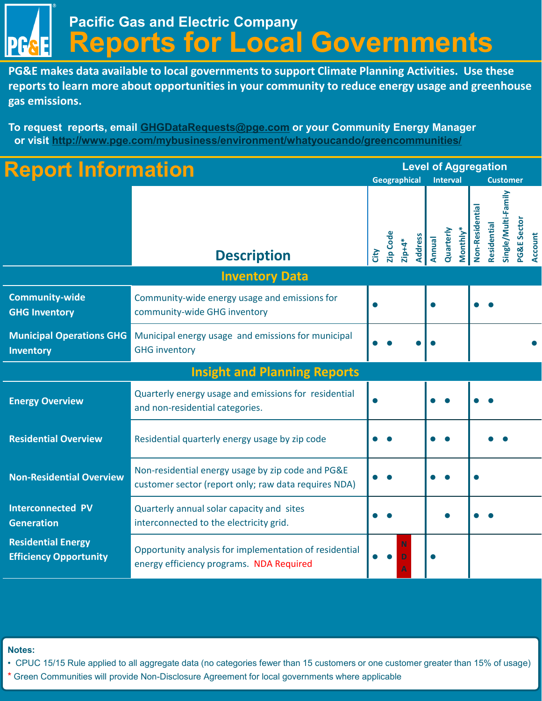**Pacific Gas and Electric Company Reports for Local Governments**

**PG&E makes data available to local governments to support Climate Planning Activities. Use these reports to learn more about opportunities in your community to reduce energy usage and greenhouse gas emissions.** 

**To request reports, email [GHGDataRequests@pge.com](mailto:GHGDataRequests@pge.com) or your Community Energy Manager or visit <http://www.pge.com/mybusiness/environment/whatyoucando/greencommunities/>**

| <b>Report Information</b>                                  |                                                                                                           |      |              |                 |                |                 | <b>Level of Aggregation</b> |                 |                 |             |                     |                        |                |
|------------------------------------------------------------|-----------------------------------------------------------------------------------------------------------|------|--------------|-----------------|----------------|-----------------|-----------------------------|-----------------|-----------------|-------------|---------------------|------------------------|----------------|
|                                                            |                                                                                                           |      | Geographical |                 |                | <b>Interval</b> |                             | <b>Customer</b> |                 |             |                     |                        |                |
|                                                            | <b>Description</b>                                                                                        | City | Zip Code     | $z$ ip+4 $\ast$ | <b>Address</b> | Annual          | Quarterly                   | Monthly*        | Non-Residential | Residential | Single/Multi-Family | <b>PG&amp;E Sector</b> | <b>Account</b> |
|                                                            |                                                                                                           |      |              |                 |                |                 |                             |                 |                 |             |                     |                        |                |
| <b>Community-wide</b><br><b>GHG Inventory</b>              | Community-wide energy usage and emissions for<br>community-wide GHG inventory                             |      |              |                 |                |                 |                             |                 |                 |             |                     |                        |                |
| <b>Municipal Operations GHG</b><br>Inventory               | Municipal energy usage and emissions for municipal<br><b>GHG inventory</b>                                |      |              |                 |                |                 |                             |                 |                 |             |                     |                        |                |
|                                                            | <b>Insight and Planning Reports</b>                                                                       |      |              |                 |                |                 |                             |                 |                 |             |                     |                        |                |
| <b>Energy Overview</b>                                     | Quarterly energy usage and emissions for residential<br>and non-residential categories.                   |      |              |                 |                |                 |                             |                 |                 |             |                     |                        |                |
| <b>Residential Overview</b>                                | Residential quarterly energy usage by zip code                                                            |      |              |                 |                |                 |                             |                 |                 |             |                     |                        |                |
| <b>Non-Residential Overview</b>                            | Non-residential energy usage by zip code and PG&E<br>customer sector (report only; raw data requires NDA) |      |              |                 |                |                 |                             |                 |                 |             |                     |                        |                |
| <b>Interconnected PV</b><br><b>Generation</b>              | Quarterly annual solar capacity and sites<br>interconnected to the electricity grid.                      |      |              |                 |                |                 |                             |                 |                 |             |                     |                        |                |
| <b>Residential Energy</b><br><b>Efficiency Opportunity</b> | Opportunity analysis for implementation of residential<br>energy efficiency programs. NDA Required        |      |              |                 |                |                 |                             |                 |                 |             |                     |                        |                |

**Notes:** 

• CPUC 15/15 Rule applied to all aggregate data (no categories fewer than 15 customers or one customer greater than 15% of usage)

\* Green Communities will provide Non-Disclosure Agreement for local governments where applicable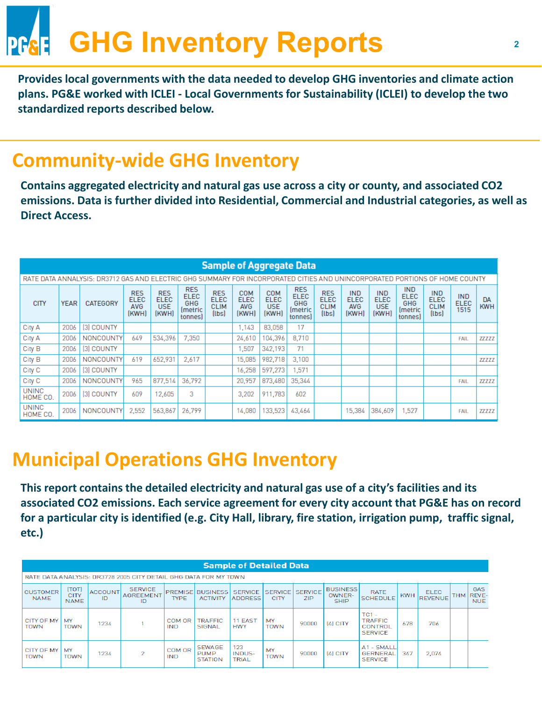# **GHG Inventory Reports**

**Provides local governments with the data needed to develop GHG inventories and climate action plans. PG&E worked with ICLEI - Local Governments for Sustainability (ICLEI) to develop the two standardized reports described below.** 

#### **Community-wide GHG Inventory**

**Contains aggregated electricity and natural gas use across a city or county, and associated CO2 emissions. Data is further divided into Residential, Commercial and Industrial categories, as well as Direct Access.** 

|                          |             |                                                                                                                             |                                           |                                                  |                                                                             |                                                         |                                           | <b>Sample of Aggregate Data</b>    |                                                                             |                                                   |                                                  |                                                  |                                                                            |                                                         |                                   |                         |
|--------------------------|-------------|-----------------------------------------------------------------------------------------------------------------------------|-------------------------------------------|--------------------------------------------------|-----------------------------------------------------------------------------|---------------------------------------------------------|-------------------------------------------|------------------------------------|-----------------------------------------------------------------------------|---------------------------------------------------|--------------------------------------------------|--------------------------------------------------|----------------------------------------------------------------------------|---------------------------------------------------------|-----------------------------------|-------------------------|
|                          |             | RATE DATA ANNALYSIS: DR3712 GAS AND ELECTRIC GHG SUMMARY FOR INCORPORATED CITIES AND UNINCORPORATED PORTIONS OF HOME COUNTY |                                           |                                                  |                                                                             |                                                         |                                           |                                    |                                                                             |                                                   |                                                  |                                                  |                                                                            |                                                         |                                   |                         |
| <b>CITY</b>              | <b>YEAR</b> | CATEGORY                                                                                                                    | <b>RES</b><br><b>ELEC</b><br>AVG<br>(KWH) | <b>RES</b><br><b>ELEC</b><br><b>USE</b><br>(KWH) | <b>RES</b><br><b>ELEC</b><br>GHG<br><i><u><b>Imetric</b></u></i><br>tonnes) | <b>RES</b><br><b>ELEC</b><br><b>CLIM</b><br>$[l$ bs $]$ | COM<br><b>ELEC</b><br><b>AVG</b><br>(KWH) | COM<br><b>ELEC</b><br>USE<br>(KWH) | <b>RES</b><br><b>ELEC</b><br>GHG<br><i><u><b>Imetric</b></u></i><br>tonnes) | <b>RES</b><br><b>ELEC</b><br><b>CLIM</b><br>(lbs) | <b>IND</b><br><b>ELEC</b><br><b>AVG</b><br>[KWH] | <b>IND</b><br><b>ELEC</b><br><b>USE</b><br>(KWH) | <b>IND</b><br><b>ELEC</b><br>GHG<br><i><u><b>Imetric</b></u></i><br>tonnes | <b>IND</b><br><b>ELEC</b><br><b>CLIM</b><br>$[l$ bs $]$ | <b>IND</b><br><b>ELEC</b><br>1515 | <b>DA</b><br><b>KWH</b> |
| City A                   | 2006        | [3] COUNTY                                                                                                                  |                                           |                                                  |                                                                             |                                                         | 1.143                                     | 83,058                             | 17                                                                          |                                                   |                                                  |                                                  |                                                                            |                                                         |                                   |                         |
| City A                   | 2006        | NONCOUNTY                                                                                                                   | 649                                       | 534,396                                          | 7.350                                                                       |                                                         | 24,610                                    | 104.396                            | 8.710                                                                       |                                                   |                                                  |                                                  |                                                                            |                                                         | FAIL                              | 77777                   |
| City B                   | 2006        | [3] COUNTY                                                                                                                  |                                           |                                                  |                                                                             |                                                         | ,507                                      | 342.193                            | 71                                                                          |                                                   |                                                  |                                                  |                                                                            |                                                         |                                   |                         |
| City B                   | 2006        | <b>NONCOUNTY</b>                                                                                                            | 619                                       | 652.931                                          | 2,617                                                                       |                                                         | 15,085                                    | 982.718                            | 3.100                                                                       |                                                   |                                                  |                                                  |                                                                            |                                                         |                                   | <b>ZZZZZZ</b>           |
| City <sub>C</sub>        | 2006        | [3] COUNTY                                                                                                                  |                                           |                                                  |                                                                             |                                                         | 16,258                                    | 597,273                            | .571                                                                        |                                                   |                                                  |                                                  |                                                                            |                                                         |                                   |                         |
| City <sub>C</sub>        | 2006        | NONCOUNTY                                                                                                                   | 965                                       | 877,514                                          | 36,792                                                                      |                                                         | 20,957                                    | 873,480                            | 35,344                                                                      |                                                   |                                                  |                                                  |                                                                            |                                                         | <b>FAIL</b>                       | 77777                   |
| <b>UNINC</b><br>HOME CO. | 2006        | [3] COUNTY                                                                                                                  | 609                                       | 12,605                                           | 3                                                                           |                                                         | 3,202                                     | 911,783                            | 602                                                                         |                                                   |                                                  |                                                  |                                                                            |                                                         |                                   |                         |
| <b>UNINC</b><br>HOME CO. | 2006        | NONCOUNTY                                                                                                                   | 2,552                                     | 563,867                                          | 26.799                                                                      |                                                         | 14,080                                    | 133,523                            | 43,464                                                                      |                                                   | 15,384                                           | 384,609                                          | 1,527                                                                      |                                                         | <b>FAIL</b>                       | 77777                   |

#### **Municipal Operations GHG Inventory**

**This report contains the detailed electricity and natural gas use of a city's facilities and its associated CO2 emissions. Each service agreement for every city account that PG&E has on record for a particular city is identified (e.g. City Hall, library, fire station, irrigation pump, traffic signal, etc.)** 

|                                |                                     |                      |                                                                  |                               |                                                | <b>Sample of Detailed Data</b>   |                               |                              |                                          |                                                        |            |                               |            |                                   |
|--------------------------------|-------------------------------------|----------------------|------------------------------------------------------------------|-------------------------------|------------------------------------------------|----------------------------------|-------------------------------|------------------------------|------------------------------------------|--------------------------------------------------------|------------|-------------------------------|------------|-----------------------------------|
|                                |                                     |                      | RATE DATA ANALYSIS: DR3728 2005 CITY DETAIL GHG DATA FOR MY TOWN |                               |                                                |                                  |                               |                              |                                          |                                                        |            |                               |            |                                   |
| <b>CUSTOMER</b><br><b>NAME</b> | [TOT]<br><b>CITY</b><br><b>NAME</b> | <b>ACCOUNT</b><br>ID | <b>SERVICE</b><br><b>AGREEMENT</b><br>ID                         | <b>PREMISE</b><br><b>TYPE</b> | <b>BUSINESS</b><br><b>ACTIVITY</b>             | <b>SERVICE</b><br><b>ADDRESS</b> | <b>SERVICE</b><br><b>CITY</b> | <b>SERVICE</b><br><b>ZIP</b> | <b>BUSINESS</b><br>OWNER-<br><b>SHIP</b> | <b>RATE</b><br><b>SCHEDULE</b>                         | <b>KWH</b> | <b>ELEC</b><br><b>REVENUE</b> | <b>THM</b> | GAS<br><b>REVE-</b><br><b>NUE</b> |
| CITY OF MY<br>TOWN             | MY<br><b>TOWN</b>                   | 1234                 |                                                                  | COM OR<br>IND                 | <b>TRAFFIC</b><br>SIGNAL                       | 11 EAST<br><b>HWY</b>            | MY<br><b>TOWN</b>             | 90000                        | $[4]$ CITY                               | $TC1 -$<br><b>TRAFFIC</b><br>CONTROL<br><b>SERVICE</b> | 678        | 706                           |            |                                   |
| CITY OF MY<br>TOWN             | MY<br><b>TOWN</b>                   | 1234                 | $\overline{2}$                                                   | COM OR<br>IND                 | <b>SEWAGE</b><br><b>PUMP</b><br><b>STATION</b> | 123<br>INDUS-<br><b>TRIAL</b>    | MY<br><b>TOWN</b>             | 90000                        | [4] CITY                                 | A1 - SMALL<br><b>GERNERAL</b><br><b>SERVICE</b>        | 347        | 2,074                         |            |                                   |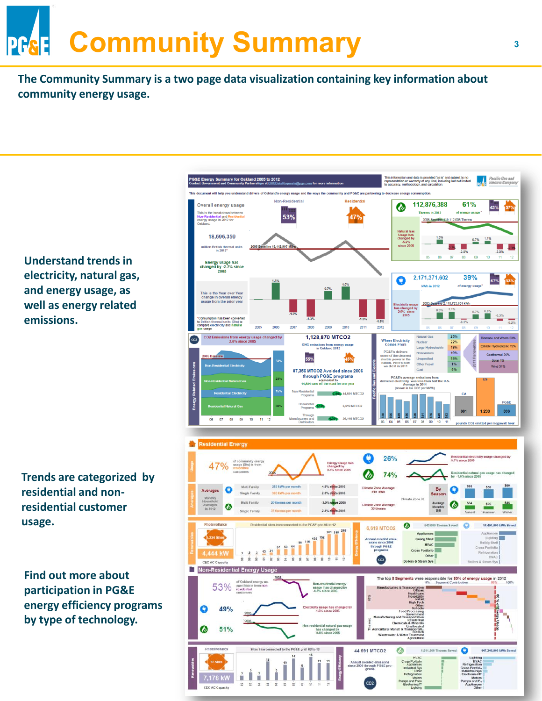## **Community Summary PG&E**

**The Community Summary is a two page data visualization containing key information about community energy usage.** 

**Understand trends in electricity, natural gas, and energy usage, as well as energy related emissions.** 

**Trends are categorized by residential and nonresidential customer usage.** 

**Find out more about participation in PG&E energy efficiency programs by type of technology.** 

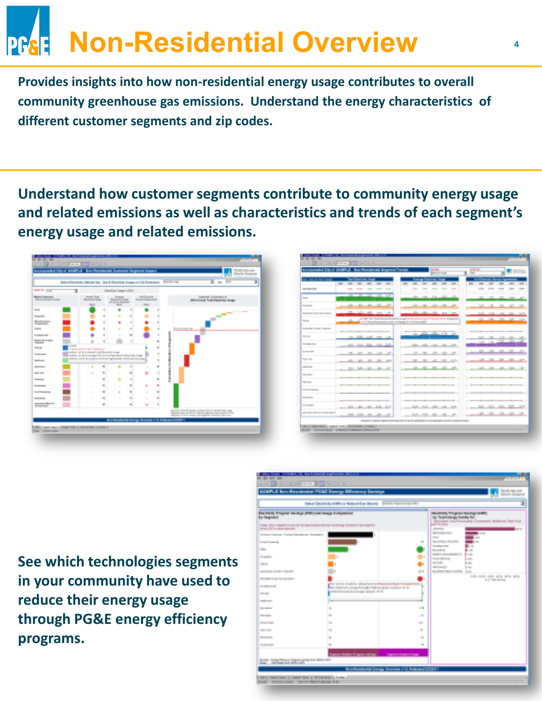## **Non-Residential Overview PR&E**

**Provides insights into how non-residential energy usage contributes to overall community greenhouse gas emissions. Understand the energy characteristics of different customer segments and zip codes.** 

**Understand how customer segments contribute to community energy usage and related emissions as well as characteristics and trends of each segment's energy usage and related emissions.** 



| Incorporated Citrus' BAMPLE - from Penalterial Degeneral Fenalty |   |                                  |             |                             |                |   |                                                                                                                                                 |                                             | <b>BELLEY</b><br><b>CALCULATION</b> |                                                                                                                                                                                                                                      |              | a little |               |             | in)                             | <b>C</b> 20 Hz      |             |
|------------------------------------------------------------------|---|----------------------------------|-------------|-----------------------------|----------------|---|-------------------------------------------------------------------------------------------------------------------------------------------------|---------------------------------------------|-------------------------------------|--------------------------------------------------------------------------------------------------------------------------------------------------------------------------------------------------------------------------------------|--------------|----------|---------------|-------------|---------------------------------|---------------------|-------------|
| <b>STORY OF THE STATE</b>                                        |   | <b>Louis Council of Chine</b>    |             |                             |                |   |                                                                                                                                                 | <b>Assessment Constitution Constitution</b> |                                     |                                                                                                                                                                                                                                      |              |          |               |             | Mark Dearborn (Service Age      |                     |             |
|                                                                  | m |                                  |             |                             | <b>STO</b>     | m |                                                                                                                                                 |                                             |                                     | ÷                                                                                                                                                                                                                                    | <b>STORY</b> | ═        |               |             |                                 |                     | <b>ISSN</b> |
| <b>Contract Contract Contract</b>                                |   | <b>COL</b><br>1,000              |             | <b>STATE STATE</b>          | <b>STATE</b>   |   | 1,000                                                                                                                                           |                                             | 18,000                              | <b>RUSSIA</b>                                                                                                                                                                                                                        | 1,810        |          | <b>COM</b>    | 0.000       | 4,881                           | <b>DOM:N</b>        | 10/11       |
| <b>Book</b>                                                      |   | the control and control and      |             |                             |                |   |                                                                                                                                                 |                                             |                                     | <b>All All And All And All And All And All And All And All And All And All And All And All And All And All And All And All And All And All And All And All And All And All And All And All And All And All And All And All And A</b> |              |          | <b>STATE</b>  | <b>TIME</b> | <b>TIME</b>                     | <b>COLL AND</b>     |             |
| <b>BULLER</b>                                                    |   | 101 121 121 131 131              |             |                             |                |   |                                                                                                                                                 | 12. In 13. 13. 13.                          |                                     |                                                                                                                                                                                                                                      |              |          |               |             |                                 | 120 121 131 131 131 |             |
| <b>Charles Card Calvard Made</b>                                 |   | 1971 - All Park, All Corporation |             |                             |                |   |                                                                                                                                                 |                                             |                                     | Alla, Jan. 1970                                                                                                                                                                                                                      |              |          |               |             | <b>STATE COLORS CARDS THING</b> |                     | -4.9        |
| <b>Silver</b>                                                    |   |                                  |             |                             |                |   | to the the field doesn't be desired to applie the selectories of the specializer designation<br>1-1 Fritan September por a base of 1 Fritan 200 |                                             |                                     |                                                                                                                                                                                                                                      |              |          |               |             | 100 120 120 120                 |                     | كالنب       |
| <b>NUMBER OF STREET</b>                                          |   | _____                            |             |                             |                |   |                                                                                                                                                 |                                             |                                     |                                                                                                                                                                                                                                      |              |          |               | _______     |                                 | --                  |             |
| <b>Ballyman</b>                                                  |   | the angle and control and        |             |                             |                |   |                                                                                                                                                 | on and                                      | the committee                       |                                                                                                                                                                                                                                      |              |          | 11.56         |             |                                 | 140 - 150 160 160   |             |
| <b>Service Control</b>                                           |   | m.                               | 30 10 10 10 |                             |                |   | <b>SHIP</b>                                                                                                                                     | <b>DOM:</b>                                 |                                     | 120-220-221                                                                                                                                                                                                                          |              |          | <b>COURSE</b> | 10,000      | <b>ASSISTENT</b>                |                     |             |
| <b>Service Council</b>                                           |   | <b>TELE</b><br><b>STO</b>        | <b>TIME</b> |                             | 100111-002     |   | 1,181                                                                                                                                           | <b>STO</b>                                  | <b>CONTRACTOR</b>                   | <b>STORY</b>                                                                                                                                                                                                                         | <b>ST</b>    |          | m             | ÷           | 10.                             | <b>STORY</b>        |             |
| <b>That they</b>                                                 |   | 10 10 10 11                      |             | A.                          | <b>Service</b> |   |                                                                                                                                                 | <b>SECTION</b>                              | 48, 18, 48,                         |                                                                                                                                                                                                                                      |              |          | <b>Life</b>   |             | 13.                             | m                   | 43          |
| <b>Stewart Commerce</b>                                          |   | 1011-1025                        | m           | m                           | an i           |   |                                                                                                                                                 | 25 TO 55 25 25                              |                                     |                                                                                                                                                                                                                                      |              |          |               | Allen Allen |                                 | Allen Auto          | 140         |
| <b>PERMIT</b>                                                    |   |                                  |             |                             |                |   |                                                                                                                                                 |                                             |                                     |                                                                                                                                                                                                                                      | ----         |          |               |             |                                 |                     |             |
| <b>BULLET</b>                                                    |   |                                  |             | and the control of the con- |                |   |                                                                                                                                                 |                                             |                                     |                                                                                                                                                                                                                                      |              |          |               |             |                                 |                     |             |
| <b>Consideration</b>                                             |   |                                  |             |                             |                |   |                                                                                                                                                 |                                             |                                     | <b>PERSONAL PROPERTY</b>                                                                                                                                                                                                             |              |          |               |             |                                 |                     |             |
| <b>Business</b>                                                  |   |                                  |             |                             |                |   |                                                                                                                                                 |                                             |                                     |                                                                                                                                                                                                                                      |              |          |               |             |                                 |                     |             |
| <b>STATISTICS</b>                                                |   | CONTRACTOR - 1974 - 1974 - 1974  |             |                             |                |   |                                                                                                                                                 | 400 P.M. (800 P.M. 1200                     |                                     |                                                                                                                                                                                                                                      |              |          |               | 32. 55. 55. |                                 | <b>SILLER</b>       | 1,000,000   |
| on police the contract them.                                     |   | $-20.35 - 10.42 - 10.42$         |             |                             |                |   |                                                                                                                                                 | 52, 52,                                     | $-100$                              |                                                                                                                                                                                                                                      |              |          | an.           | $-17 - 15$  |                                 | <b>SECURITY</b>     | an in       |

**See which technologies segments in your community have used to reduce their energy usage through PG&E energy efficiency programs.**